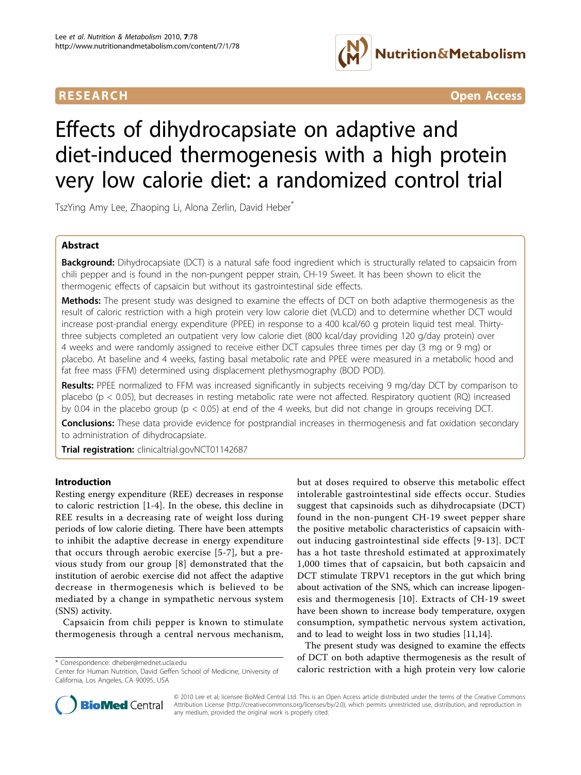

**RESEARCH CONTROL** CONTROL CONTROL CONTROL CONTROL CONTROL CONTROL CONTROL CONTROL CONTROL CONTROL CONTROL CONTROL CONTROL CONTROL CONTROL CONTROL CONTROL CONTROL CONTROL CONTROL CONTROL CONTROL CONTROL CONTROL CONTROL CON

# Effects of dihydrocapsiate on adaptive and diet-induced thermogenesis with a high protein very low calorie diet: a randomized control trial

TszYing Amy Lee, Zhaoping Li, Alona Zerlin, David Heber\*

# Abstract

Background: Dihydrocapsiate (DCT) is a natural safe food ingredient which is structurally related to capsaicin from chili pepper and is found in the non-pungent pepper strain, CH-19 Sweet. It has been shown to elicit the thermogenic effects of capsaicin but without its gastrointestinal side effects.

Methods: The present study was designed to examine the effects of DCT on both adaptive thermogenesis as the result of caloric restriction with a high protein very low calorie diet (VLCD) and to determine whether DCT would increase post-prandial energy expenditure (PPEE) in response to a 400 kcal/60 g protein liquid test meal. Thirtythree subjects completed an outpatient very low calorie diet (800 kcal/day providing 120 g/day protein) over 4 weeks and were randomly assigned to receive either DCT capsules three times per day (3 mg or 9 mg) or placebo. At baseline and 4 weeks, fasting basal metabolic rate and PPEE were measured in a metabolic hood and fat free mass (FFM) determined using displacement plethysmography (BOD POD).

Results: PPEE normalized to FFM was increased significantly in subjects receiving 9 mg/day DCT by comparison to placebo (p < 0.05), but decreases in resting metabolic rate were not affected. Respiratory quotient (RQ) increased by 0.04 in the placebo group (p < 0.05) at end of the 4 weeks, but did not change in groups receiving DCT.

**Conclusions:** These data provide evidence for postprandial increases in thermogenesis and fat oxidation secondary to administration of dihydrocapsiate.

Trial registration: clinicaltrial.govNCT01142687

## Introduction

Resting energy expenditure (REE) decreases in response to caloric restriction [[1-4\]](#page-5-0). In the obese, this decline in REE results in a decreasing rate of weight loss during periods of low calorie dieting. There have been attempts to inhibit the adaptive decrease in energy expenditure that occurs through aerobic exercise [\[5-7](#page-5-0)], but a previous study from our group [[8](#page-5-0)] demonstrated that the institution of aerobic exercise did not affect the adaptive decrease in thermogenesis which is believed to be mediated by a change in sympathetic nervous system (SNS) activity.

Capsaicin from chili pepper is known to stimulate thermogenesis through a central nervous mechanism,

but at doses required to observe this metabolic effect intolerable gastrointestinal side effects occur. Studies suggest that capsinoids such as dihydrocapsiate (DCT) found in the non-pungent CH-19 sweet pepper share the positive metabolic characteristics of capsaicin without inducing gastrointestinal side effects [[9](#page-5-0)-[13](#page-5-0)]. DCT has a hot taste threshold estimated at approximately 1,000 times that of capsaicin, but both capsaicin and DCT stimulate TRPV1 receptors in the gut which bring about activation of the SNS, which can increase lipogenesis and thermogenesis [\[10\]](#page-5-0). Extracts of CH-19 sweet have been shown to increase body temperature, oxygen consumption, sympathetic nervous system activation, and to lead to weight loss in two studies [\[11,14\]](#page-5-0).

The present study was designed to examine the effects of DCT on both adaptive thermogenesis as the result of \* Correspondence: [dheber@mednet.ucla.edu](mailto:dheber@mednet.ucla.edu)<br>Center for Human Nutrition, David Geffen School of Medicine, University of **caloric restriction with a high protein very low calorie** 



© 2010 Lee et al; licensee BioMed Central Ltd. This is an Open Access article distributed under the terms of the Creative Commons Attribution License [\(http://creativecommons.org/licenses/by/2.0](http://creativecommons.org/licenses/by/2.0)), which permits unrestricted use, distribution, and reproduction in any medium, provided the original work is properly cited.

Center for Human Nutrition, David Geffen School of Medicine, University of California, Los Angeles, CA 90095, USA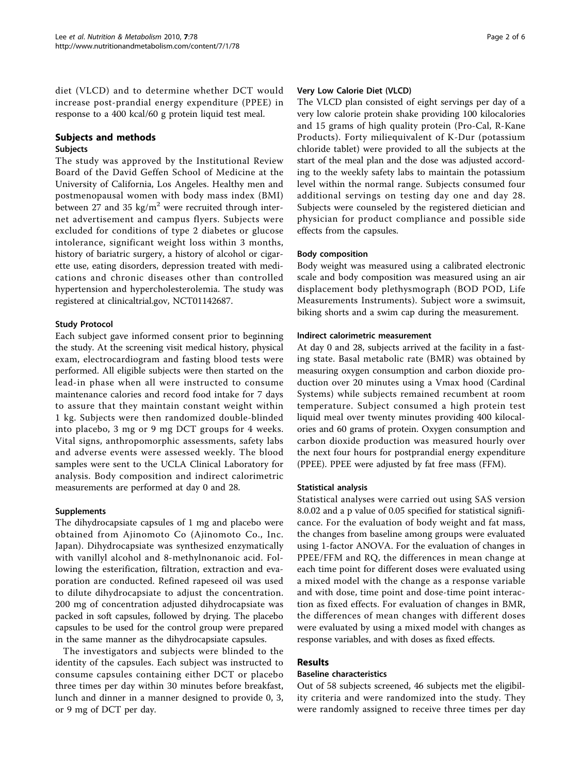diet (VLCD) and to determine whether DCT would increase post-prandial energy expenditure (PPEE) in response to a 400 kcal/60 g protein liquid test meal.

# Subjects and methods

# Subjects

The study was approved by the Institutional Review Board of the David Geffen School of Medicine at the University of California, Los Angeles. Healthy men and postmenopausal women with body mass index (BMI) between 27 and 35 kg/ $m^2$  were recruited through internet advertisement and campus flyers. Subjects were excluded for conditions of type 2 diabetes or glucose intolerance, significant weight loss within 3 months, history of bariatric surgery, a history of alcohol or cigarette use, eating disorders, depression treated with medications and chronic diseases other than controlled hypertension and hypercholesterolemia. The study was registered at clinicaltrial.gov, NCT01142687.

## Study Protocol

Each subject gave informed consent prior to beginning the study. At the screening visit medical history, physical exam, electrocardiogram and fasting blood tests were performed. All eligible subjects were then started on the lead-in phase when all were instructed to consume maintenance calories and record food intake for 7 days to assure that they maintain constant weight within 1 kg. Subjects were then randomized double-blinded into placebo, 3 mg or 9 mg DCT groups for 4 weeks. Vital signs, anthropomorphic assessments, safety labs and adverse events were assessed weekly. The blood samples were sent to the UCLA Clinical Laboratory for analysis. Body composition and indirect calorimetric measurements are performed at day 0 and 28.

#### Supplements

The dihydrocapsiate capsules of 1 mg and placebo were obtained from Ajinomoto Co (Ajinomoto Co., Inc. Japan). Dihydrocapsiate was synthesized enzymatically with vanillyl alcohol and 8-methylnonanoic acid. Following the esterification, filtration, extraction and evaporation are conducted. Refined rapeseed oil was used to dilute dihydrocapsiate to adjust the concentration. 200 mg of concentration adjusted dihydrocapsiate was packed in soft capsules, followed by drying. The placebo capsules to be used for the control group were prepared in the same manner as the dihydrocapsiate capsules.

The investigators and subjects were blinded to the identity of the capsules. Each subject was instructed to consume capsules containing either DCT or placebo three times per day within 30 minutes before breakfast, lunch and dinner in a manner designed to provide 0, 3, or 9 mg of DCT per day.

#### Very Low Calorie Diet (VLCD)

The VLCD plan consisted of eight servings per day of a very low calorie protein shake providing 100 kilocalories and 15 grams of high quality protein (Pro-Cal, R-Kane Products). Forty miliequivalent of K-Dur (potassium chloride tablet) were provided to all the subjects at the start of the meal plan and the dose was adjusted according to the weekly safety labs to maintain the potassium level within the normal range. Subjects consumed four additional servings on testing day one and day 28. Subjects were counseled by the registered dietician and physician for product compliance and possible side effects from the capsules.

#### Body composition

Body weight was measured using a calibrated electronic scale and body composition was measured using an air displacement body plethysmograph (BOD POD, Life Measurements Instruments). Subject wore a swimsuit, biking shorts and a swim cap during the measurement.

#### Indirect calorimetric measurement

At day 0 and 28, subjects arrived at the facility in a fasting state. Basal metabolic rate (BMR) was obtained by measuring oxygen consumption and carbon dioxide production over 20 minutes using a Vmax hood (Cardinal Systems) while subjects remained recumbent at room temperature. Subject consumed a high protein test liquid meal over twenty minutes providing 400 kilocalories and 60 grams of protein. Oxygen consumption and carbon dioxide production was measured hourly over the next four hours for postprandial energy expenditure (PPEE). PPEE were adjusted by fat free mass (FFM).

#### Statistical analysis

Statistical analyses were carried out using SAS version 8.0.02 and a p value of 0.05 specified for statistical significance. For the evaluation of body weight and fat mass, the changes from baseline among groups were evaluated using 1-factor ANOVA. For the evaluation of changes in PPEE/FFM and RQ, the differences in mean change at each time point for different doses were evaluated using a mixed model with the change as a response variable and with dose, time point and dose-time point interaction as fixed effects. For evaluation of changes in BMR, the differences of mean changes with different doses were evaluated by using a mixed model with changes as response variables, and with doses as fixed effects.

## Results

#### Baseline characteristics

Out of 58 subjects screened, 46 subjects met the eligibility criteria and were randomized into the study. They were randomly assigned to receive three times per day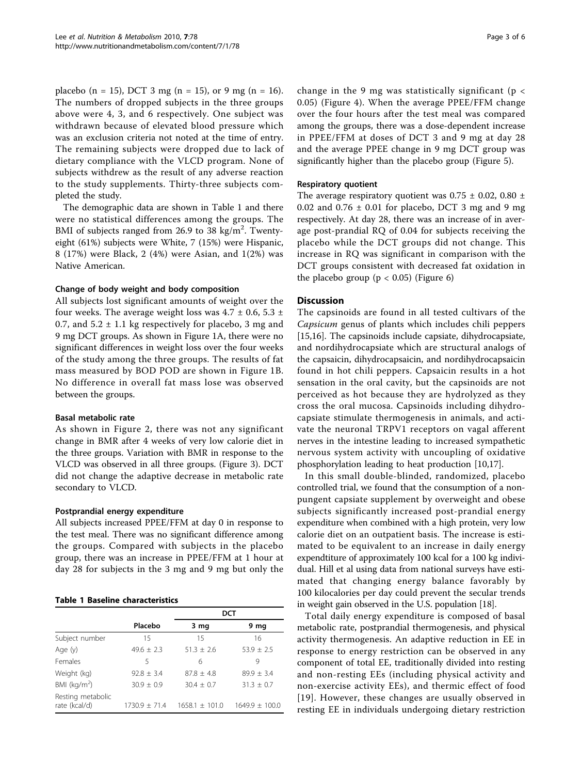placebo (n = 15), DCT 3 mg (n = 15), or 9 mg (n = 16). The numbers of dropped subjects in the three groups above were 4, 3, and 6 respectively. One subject was withdrawn because of elevated blood pressure which was an exclusion criteria not noted at the time of entry. The remaining subjects were dropped due to lack of dietary compliance with the VLCD program. None of subjects withdrew as the result of any adverse reaction to the study supplements. Thirty-three subjects completed the study.

The demographic data are shown in Table 1 and there were no statistical differences among the groups. The BMI of subjects ranged from 26.9 to 38 kg/m<sup>2</sup>. Twentyeight (61%) subjects were White, 7 (15%) were Hispanic, 8 (17%) were Black, 2 (4%) were Asian, and 1(2%) was Native American.

#### Change of body weight and body composition

All subjects lost significant amounts of weight over the four weeks. The average weight loss was  $4.7 \pm 0.6$ ,  $5.3 \pm 1$ 0.7, and  $5.2 \pm 1.1$  kg respectively for placebo, 3 mg and 9 mg DCT groups. As shown in Figure [1A](#page-3-0), there were no significant differences in weight loss over the four weeks of the study among the three groups. The results of fat mass measured by BOD POD are shown in Figure [1B](#page-3-0). No difference in overall fat mass lose was observed between the groups.

#### Basal metabolic rate

As shown in Figure [2,](#page-3-0) there was not any significant change in BMR after 4 weeks of very low calorie diet in the three groups. Variation with BMR in response to the VLCD was observed in all three groups. (Figure [3\)](#page-3-0). DCT did not change the adaptive decrease in metabolic rate secondary to VLCD.

#### Postprandial energy expenditure

All subjects increased PPEE/FFM at day 0 in response to the test meal. There was no significant difference among the groups. Compared with subjects in the placebo group, there was an increase in PPEE/FFM at 1 hour at day 28 for subjects in the 3 mg and 9 mg but only the

# Table 1 Baseline characteristics

|                                    | Placebo         | 3 mg             | 9 mg               |
|------------------------------------|-----------------|------------------|--------------------|
| Subject number                     | 15              | 15               | 16                 |
| Age (y)                            | $49.6 + 2.3$    | $51.3 + 2.6$     | $53.9 + 2.5$       |
| Females                            | 5               | 6                | 9                  |
| Weight (kg)                        | $92.8 + 3.4$    | $87.8 + 4.8$     | $89.9 + 3.4$       |
| BMI ( $kg/m2$ )                    | $30.9 + 0.9$    | $30.4 + 0.7$     | $31.3 + 0.7$       |
| Resting metabolic<br>rate (kcal/d) | $1730.9 + 71.4$ | $1658.1 + 101.0$ | $1649.9 \pm 100.0$ |

change in the 9 mg was statistically significant ( $p <$ 0.05) (Figure [4](#page-4-0)). When the average PPEE/FFM change over the four hours after the test meal was compared among the groups, there was a dose-dependent increase in PPEE/FFM at doses of DCT 3 and 9 mg at day 28 and the average PPEE change in 9 mg DCT group was significantly higher than the placebo group (Figure [5](#page-4-0)).

#### Respiratory quotient

The average respiratory quotient was  $0.75 \pm 0.02$ ,  $0.80 \pm 0.02$ 0.02 and  $0.76 \pm 0.01$  for placebo, DCT 3 mg and 9 mg respectively. At day 28, there was an increase of in average post-prandial RQ of 0.04 for subjects receiving the placebo while the DCT groups did not change. This increase in RQ was significant in comparison with the DCT groups consistent with decreased fat oxidation in the placebo group ( $p < 0.05$ ) (Figure [6](#page-4-0))

#### **Discussion**

The capsinoids are found in all tested cultivars of the Capsicum genus of plants which includes chili peppers [[15,16\]](#page-5-0). The capsinoids include capsiate, dihydrocapsiate, and nordihydrocapsiate which are structural analogs of the capsaicin, dihydrocapsaicin, and nordihydrocapsaicin found in hot chili peppers. Capsaicin results in a hot sensation in the oral cavity, but the capsinoids are not perceived as hot because they are hydrolyzed as they cross the oral mucosa. Capsinoids including dihydrocapsiate stimulate thermogenesis in animals, and activate the neuronal TRPV1 receptors on vagal afferent nerves in the intestine leading to increased sympathetic nervous system activity with uncoupling of oxidative phosphorylation leading to heat production [[10](#page-5-0),[17](#page-5-0)].

In this small double-blinded, randomized, placebo controlled trial, we found that the consumption of a nonpungent capsiate supplement by overweight and obese subjects significantly increased post-prandial energy expenditure when combined with a high protein, very low calorie diet on an outpatient basis. The increase is estimated to be equivalent to an increase in daily energy expendtiture of approximately 100 kcal for a 100 kg individual. Hill et al using data from national surveys have estimated that changing energy balance favorably by 100 kilocalories per day could prevent the secular trends in weight gain observed in the U.S. population [[18](#page-5-0)].

Total daily energy expenditure is composed of basal metabolic rate, postprandial thermogenesis, and physical activity thermogenesis. An adaptive reduction in EE in response to energy restriction can be observed in any component of total EE, traditionally divided into resting and non-resting EEs (including physical activity and non-exercise activity EEs), and thermic effect of food [[19\]](#page-5-0). However, these changes are usually observed in resting EE in individuals undergoing dietary restriction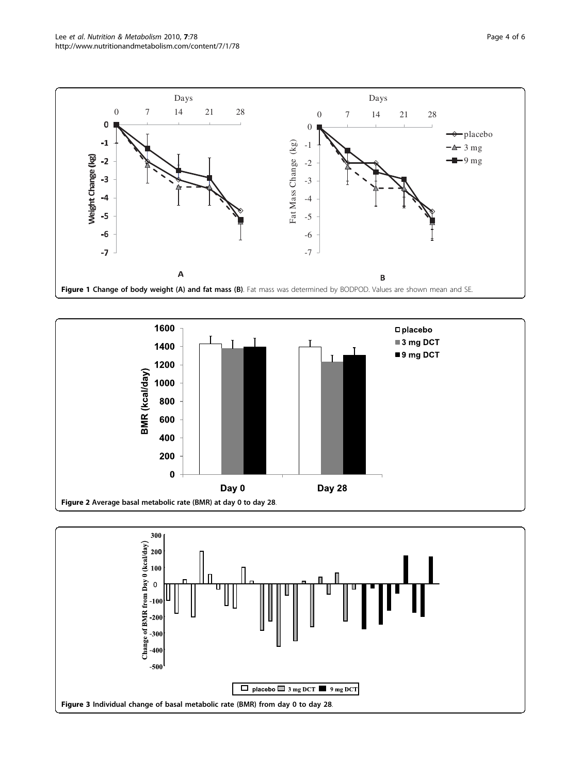<span id="page-3-0"></span>



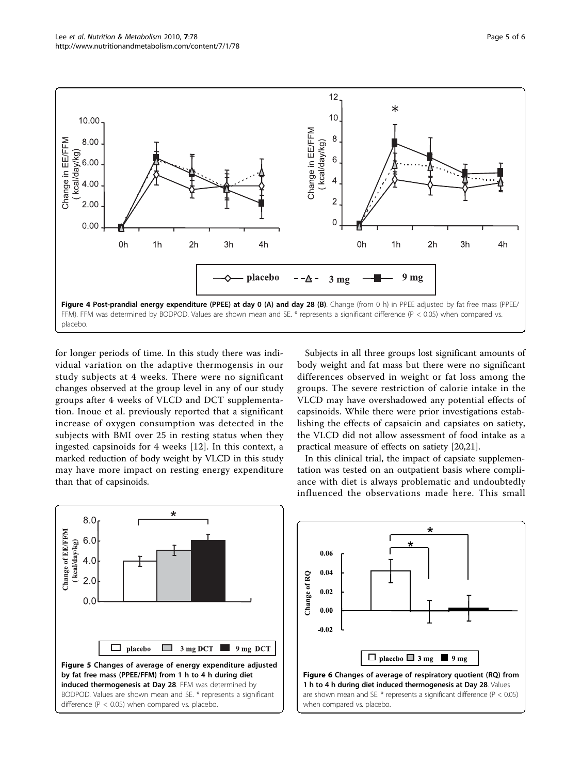<span id="page-4-0"></span>

for longer periods of time. In this study there was individual variation on the adaptive thermogensis in our study subjects at 4 weeks. There were no significant changes observed at the group level in any of our study groups after 4 weeks of VLCD and DCT supplementation. Inoue et al. previously reported that a significant increase of oxygen consumption was detected in the subjects with BMI over 25 in resting status when they ingested capsinoids for 4 weeks [\[12](#page-5-0)]. In this context, a marked reduction of body weight by VLCD in this study may have more impact on resting energy expenditure than that of capsinoids.

Subjects in all three groups lost significant amounts of body weight and fat mass but there were no significant differences observed in weight or fat loss among the groups. The severe restriction of calorie intake in the VLCD may have overshadowed any potential effects of capsinoids. While there were prior investigations establishing the effects of capsaicin and capsiates on satiety, the VLCD did not allow assessment of food intake as a practical measure of effects on satiety [[20,21](#page-5-0)].

In this clinical trial, the impact of capsiate supplementation was tested on an outpatient basis where compliance with diet is always problematic and undoubtedly influenced the observations made here. This small